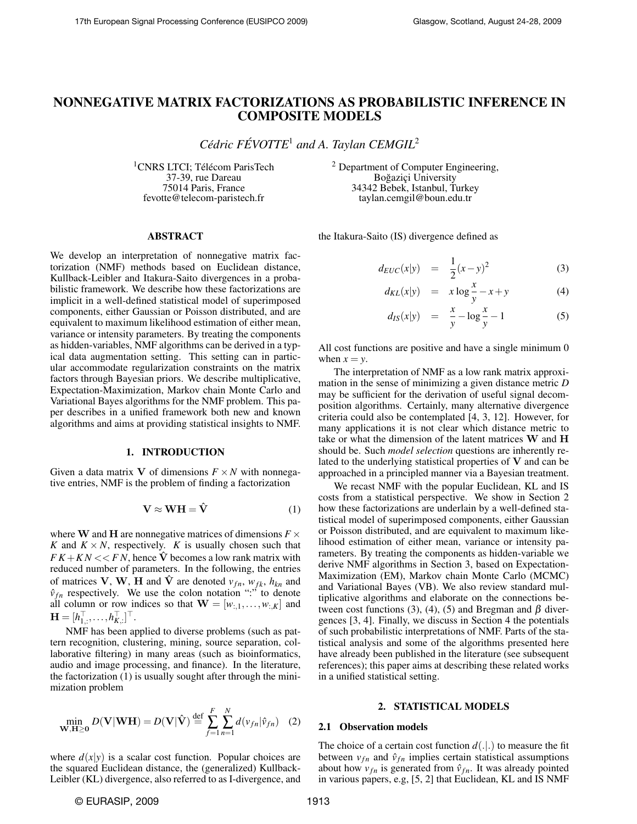# NONNEGATIVE MATRIX FACTORIZATIONS AS PROBABILISTIC INFERENCE IN COMPOSITE MODELS

*Cedric F ´ EVOTTE ´* <sup>1</sup> *and A. Taylan CEMGIL*<sup>2</sup>

<sup>1</sup>CNRS LTCI; Télécom ParisTech 37-39, rue Dareau 75014 Paris, France fevotte@telecom-paristech.fr

<sup>2</sup> Department of Computer Engineering, Boğaziçi University 34342 Bebek, Istanbul, Turkey taylan.cemgil@boun.edu.tr

## ABSTRACT

We develop an interpretation of nonnegative matrix factorization (NMF) methods based on Euclidean distance, Kullback-Leibler and Itakura-Saito divergences in a probabilistic framework. We describe how these factorizations are implicit in a well-defined statistical model of superimposed components, either Gaussian or Poisson distributed, and are equivalent to maximum likelihood estimation of either mean, variance or intensity parameters. By treating the components as hidden-variables, NMF algorithms can be derived in a typical data augmentation setting. This setting can in particular accommodate regularization constraints on the matrix factors through Bayesian priors. We describe multiplicative, Expectation-Maximization, Markov chain Monte Carlo and Variational Bayes algorithms for the NMF problem. This paper describes in a unified framework both new and known algorithms and aims at providing statistical insights to NMF.

# 1. INTRODUCTION

Given a data matrix V of dimensions  $F \times N$  with nonnegative entries, NMF is the problem of finding a factorization

$$
\mathbf{V} \approx \mathbf{W} \mathbf{H} = \hat{\mathbf{V}} \tag{1}
$$

where **W** and **H** are nonnegative matrices of dimensions  $F \times$ *K* and  $K \times N$ , respectively. *K* is usually chosen such that  $FK + KN \ll FN$ , hence  $\hat{V}$  becomes a low rank matrix with reduced number of parameters. In the following, the entries of matrices **V**, **W**, **H** and  $\hat{\textbf{V}}$  are denoted  $v_{fn}$ ,  $w_{fk}$ ,  $h_{kn}$  and  $\hat{v}_{fn}$  respectively. We use the colon notation ":" to denote all column or row indices so that  $\mathbf{W} = [w_{:,1}, \dots, w_{:,K}]$  and  $\mathbf{H} = [h_{1,:}^\top, \ldots, h_{K,:}^\top]^\top.$ 

NMF has been applied to diverse problems (such as pattern recognition, clustering, mining, source separation, collaborative filtering) in many areas (such as bioinformatics, audio and image processing, and finance). In the literature, the factorization (1) is usually sought after through the minimization problem

$$
\min_{\mathbf{W}, \mathbf{H} \ge \mathbf{0}} D(\mathbf{V}|\mathbf{W}\mathbf{H}) = D(\mathbf{V}|\hat{\mathbf{V}}) \stackrel{\text{def}}{=} \sum_{f=1}^{F} \sum_{n=1}^{N} d(v_{fn}|\hat{v}_{fn}) \quad (2)
$$

where  $d(x|y)$  is a scalar cost function. Popular choices are the squared Euclidean distance, the (generalized) Kullback-Leibler (KL) divergence, also referred to as I-divergence, and the Itakura-Saito (IS) divergence defined as

$$
d_{EUC}(x|y) = \frac{1}{2}(x-y)^2
$$
 (3)

$$
d_{KL}(x|y) = x \log \frac{x}{y} - x + y \tag{4}
$$

$$
d_{IS}(x|y) = \frac{x}{y} - \log \frac{x}{y} - 1 \tag{5}
$$

All cost functions are positive and have a single minimum 0 when  $x = y$ .

The interpretation of NMF as a low rank matrix approximation in the sense of minimizing a given distance metric *D* may be sufficient for the derivation of useful signal decomposition algorithms. Certainly, many alternative divergence criteria could also be contemplated [4, 3, 12]. However, for many applications it is not clear which distance metric to take or what the dimension of the latent matrices  $W$  and  $H$ should be. Such *model selection* questions are inherently related to the underlying statistical properties of  $V$  and can be approached in a principled manner via a Bayesian treatment.

We recast NMF with the popular Euclidean, KL and IS costs from a statistical perspective. We show in Section 2 how these factorizations are underlain by a well-defined statistical model of superimposed components, either Gaussian or Poisson distributed, and are equivalent to maximum likelihood estimation of either mean, variance or intensity parameters. By treating the components as hidden-variable we derive NMF algorithms in Section 3, based on Expectation-Maximization (EM), Markov chain Monte Carlo (MCMC) and Variational Bayes (VB). We also review standard multiplicative algorithms and elaborate on the connections between cost functions (3), (4), (5) and Bregman and β divergences [3, 4]. Finally, we discuss in Section 4 the potentials of such probabilistic interpretations of NMF. Parts of the statistical analysis and some of the algorithms presented here have already been published in the literature (see subsequent references); this paper aims at describing these related works in a unified statistical setting.

#### 2. STATISTICAL MODELS

## 2.1 Observation models

The choice of a certain cost function  $d(.|.)$  to measure the fit between  $v_{fn}$  and  $\hat{v}_{fn}$  implies certain statistical assumptions about how  $v_{fn}$  is generated from  $\hat{v}_{fn}$ . It was already pointed in various papers, e.g, [5, 2] that Euclidean, KL and IS NMF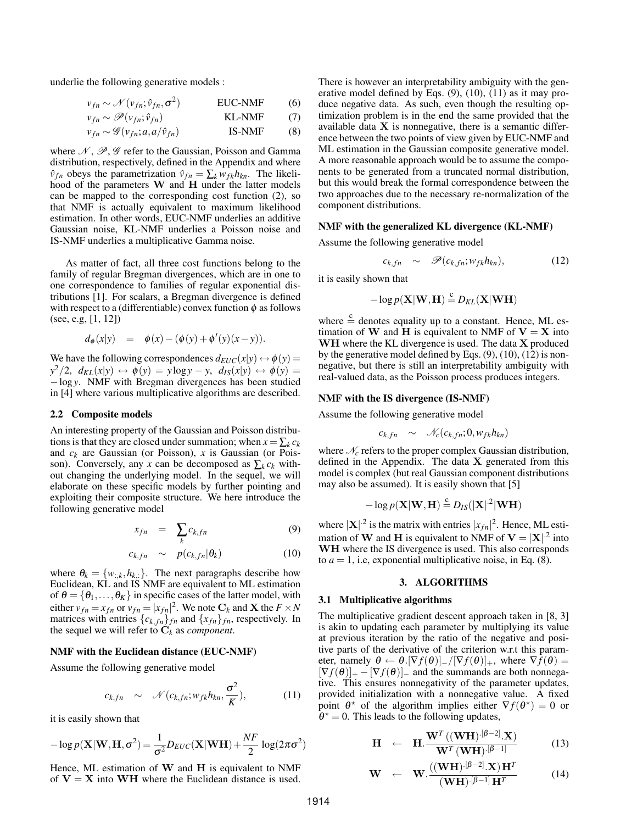underlie the following generative models :

$$
v_{fn} \sim \mathcal{N}(v_{fn}; \hat{v}_{fn}, \sigma^2)
$$
 EUC-NMF (6)

$$
v_{fn} \sim \mathcal{P}(v_{fn}; \hat{v}_{fn})
$$
 KL-NMF (7)

$$
v_{fn} \sim \mathcal{G}(v_{fn}; a, a/\hat{v}_{fn})
$$
 IS-NMF (8)

where  $\mathcal{N}, \mathcal{P}, \mathcal{G}$  refer to the Gaussian, Poisson and Gamma distribution, respectively, defined in the Appendix and where  $\hat{v}_{fn}$  obeys the parametrization  $\hat{v}_{fn} = \sum_{k} w_{fk} h_{kn}$ . The likelihood of the parameters W and H under the latter models can be mapped to the corresponding cost function (2), so that NMF is actually equivalent to maximum likelihood estimation. In other words, EUC-NMF underlies an additive Gaussian noise, KL-NMF underlies a Poisson noise and IS-NMF underlies a multiplicative Gamma noise.

As matter of fact, all three cost functions belong to the family of regular Bregman divergences, which are in one to one correspondence to families of regular exponential distributions [1]. For scalars, a Bregman divergence is defined with respect to a (differentiable) convex function  $\phi$  as follows (see, e.g, [1, 12])

$$
d_{\phi}(x|y) = \phi(x) - (\phi(y) + \phi'(y)(x - y)).
$$

We have the following correspondences  $d_{EUC}(x|y) \leftrightarrow \phi(y) =$  $y^2/2$ ,  $d_{KL}(x|y) \leftrightarrow \phi(y) = y \log y - y$ ,  $d_{IS}(x|y) \leftrightarrow \phi(y) = y \log y$ −log*y*. NMF with Bregman divergences has been studied in [4] where various multiplicative algorithms are described.

#### 2.2 Composite models

An interesting property of the Gaussian and Poisson distributions is that they are closed under summation; when  $x = \sum_k c_k$ and  $c_k$  are Gaussian (or Poisson),  $x$  is Gaussian (or Poisson). Conversely, any *x* can be decomposed as  $\sum_k c_k$  without changing the underlying model. In the sequel, we will elaborate on these specific models by further pointing and exploiting their composite structure. We here introduce the following generative model

$$
x_{fn} = \sum_{k} c_{k,fn} \tag{9}
$$

$$
c_{k,fn} \sim p(c_{k,fn}|\theta_k)
$$
 (10)

where  $\theta_k = \{w_{:,k}, h_{k,:}\}$ . The next paragraphs describe how Euclidean, KL and IS NMF are equivalent to ML estimation of  $\theta = {\theta_1, \dots, \theta_K}$  in specific cases of the latter model, with either  $v_{fn} = x_{fn}$  or  $v_{fn} = |x_{fn}|^2$ . We note  $C_k$  and **X** the  $F \times N$ matrices with entries  $\{c_{k,fn}\}_{fn}$  and  $\{x_{fn}\}_{fn}$ , respectively. In the sequel we will refer to C*<sup>k</sup>* as *component*.

## NMF with the Euclidean distance (EUC-NMF)

Assume the following generative model

$$
c_{k,fn} \sim \mathcal{N}(c_{k,fn}; w_{fk}h_{kn}, \frac{\sigma^2}{K}), \qquad (11)
$$

it is easily shown that

$$
-\log p(\mathbf{X}|\mathbf{W}, \mathbf{H}, \sigma^2) = \frac{1}{\sigma^2} D_{EUC}(\mathbf{X}|\mathbf{W}\mathbf{H}) + \frac{NF}{2} \log(2\pi\sigma^2)
$$

Hence, ML estimation of  $W$  and  $H$  is equivalent to NMF of  $V = X$  into WH where the Euclidean distance is used. There is however an interpretability ambiguity with the generative model defined by Eqs. (9), (10), (11) as it may produce negative data. As such, even though the resulting optimization problem is in the end the same provided that the available data  $X$  is nonnegative, there is a semantic difference between the two points of view given by EUC-NMF and ML estimation in the Gaussian composite generative model. A more reasonable approach would be to assume the components to be generated from a truncated normal distribution, but this would break the formal correspondence between the two approaches due to the necessary re-normalization of the component distributions.

#### NMF with the generalized KL divergence (KL-NMF)

Assume the following generative model

$$
c_{k,fn} \sim \mathscr{P}(c_{k,fn}; w_{fk}h_{kn}), \qquad (12)
$$

it is easily shown that

$$
-\log p(\mathbf{X}|\mathbf{W},\mathbf{H}) \stackrel{c}{=} D_{KL}(\mathbf{X}|\mathbf{W}\mathbf{H})
$$

where  $\frac{c}{n}$  denotes equality up to a constant. Hence, ML estimation of W and H is equivalent to NMF of  $V = X$  into WH where the KL divergence is used. The data X produced by the generative model defined by Eqs. (9), (10), (12) is nonnegative, but there is still an interpretability ambiguity with real-valued data, as the Poisson process produces integers.

#### NMF with the IS divergence (IS-NMF)

Assume the following generative model

$$
c_{k,fn} \sim \mathcal{N}_c(c_{k,fn}; 0, w_{fk}h_{kn})
$$

where  $\mathcal{N}_c$  refers to the proper complex Gaussian distribution, defined in the Appendix. The data X generated from this model is complex (but real Gaussian component distributions may also be assumed). It is easily shown that [5]

$$
-\log p(\mathbf{X}|\mathbf{W},\mathbf{H}) \stackrel{c}{=} D_{IS}(|\mathbf{X}|^{2}|\mathbf{W}\mathbf{H})
$$

where  $|\mathbf{X}|^2$  is the matrix with entries  $|x_{fn}|^2$ . Hence, ML estimation of **W** and **H** is equivalent to NMF of  $V = |X|^2$  into WH where the IS divergence is used. This also corresponds to  $a = 1$ , i.e, exponential multiplicative noise, in Eq. (8).

#### 3. ALGORITHMS

## 3.1 Multiplicative algorithms

The multiplicative gradient descent approach taken in [8, 3] is akin to updating each parameter by multiplying its value at previous iteration by the ratio of the negative and positive parts of the derivative of the criterion w.r.t this parameter, namely  $\theta \leftarrow \theta$ .  $[\nabla f(\theta)]_+ / [\nabla f(\theta)]_+$ , where  $\nabla f(\theta) =$  $[\nabla f(\theta)]_+ - [\nabla f(\theta)]_-\$  and the summands are both nonnegative. This ensures nonnegativity of the parameter updates, provided initialization with a nonnegative value. A fixed point  $\theta^*$  of the algorithm implies either  $\nabla f(\theta^*) = 0$  or  $\hat{\theta}^* = 0$ . This leads to the following updates,

$$
\mathbf{H} \leftarrow \mathbf{H} \cdot \frac{\mathbf{W}^T \left( (\mathbf{W} \mathbf{H}) \cdot [\beta - 2], \mathbf{X} \right)}{\mathbf{W}^T \left( \mathbf{W} \mathbf{H} \right) \cdot [\beta - 1]}
$$
(13)

$$
\mathbf{W} \leftarrow \mathbf{W} \cdot \frac{\left((\mathbf{W}\mathbf{H}) \cdot [\beta - 2], \mathbf{X}\right) \mathbf{H}^T}{\left(\mathbf{W}\mathbf{H}\right) \cdot [\beta - 1] \mathbf{H}^T}
$$
(14)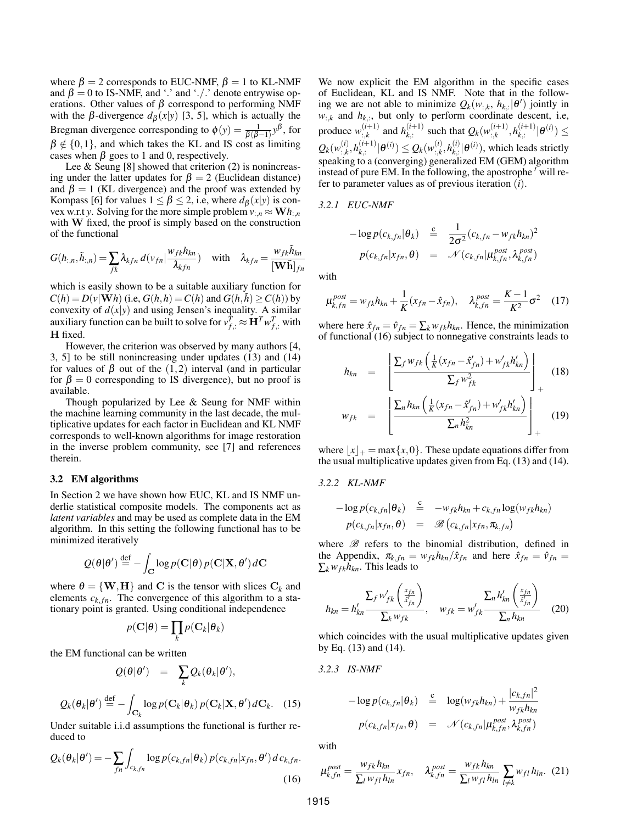where  $\beta = 2$  corresponds to EUC-NMF,  $\beta = 1$  to KL-NMF and  $\beta = 0$  to IS-NMF, and '.' and './.' denote entrywise operations. Other values of  $\beta$  correspond to performing NMF with the  $\beta$ -divergence  $d_{\beta}(x|y)$  [3, 5], which is actually the Bregman divergence corresponding to  $\phi(y) = \frac{1}{\beta(\beta-1)} y^{\beta}$ , for  $\beta \notin \{0,1\}$ , and which takes the KL and IS cost as limiting cases when  $\beta$  goes to 1 and 0, respectively.

Lee  $\&$  Seung [8] showed that criterion (2) is nonincreasing under the latter updates for  $\beta = 2$  (Euclidean distance) and  $\beta = 1$  (KL divergence) and the proof was extended by Kompass [6] for values  $1 \leq \beta \leq 2$ , i.e, where  $d_{\beta}(x|y)$  is convex w.r.t *y*. Solving for the more simple problem  $v_{\cdot,n} \approx \mathbf{W}h_{\cdot,n}$ with W fixed, the proof is simply based on the construction of the functional

$$
G(h_{:,n},\tilde{h}_{:,n}) = \sum_{f,k} \lambda_{kfn} d(v_{fn} | \frac{w_{fk} h_{kn}}{\lambda_{kfn}}) \quad \text{with} \quad \lambda_{kfn} = \frac{w_{fk} \tilde{h}_{kn}}{[\mathbf{W} \tilde{\mathbf{h}}]_{fn}}
$$

which is easily shown to be a suitable auxiliary function for  $C(h) = D(v|\mathbf{W}h)$  (i.e,  $G(h, h) = C(h)$  and  $G(h, \tilde{h}) > C(h)$ ) by convexity of  $d(x|y)$  and using Jensen's inequality. A similar auxiliary function can be built to solve for  $v_{f,:}^T \approx \mathbf{H}^T w_{f,:}^T$  with H fixed.

However, the criterion was observed by many authors [4, 3, 5] to be still nonincreasing under updates (13) and (14) for values of  $\beta$  out of the (1,2) interval (and in particular for  $\beta = 0$  corresponding to IS divergence), but no proof is available.

Though popularized by Lee & Seung for NMF within the machine learning community in the last decade, the multiplicative updates for each factor in Euclidean and KL NMF corresponds to well-known algorithms for image restoration in the inverse problem community, see [7] and references therein.

# 3.2 EM algorithms

In Section 2 we have shown how EUC, KL and IS NMF underlie statistical composite models. The components act as *latent variables* and may be used as complete data in the EM algorithm. In this setting the following functional has to be minimized iteratively

$$
\mathcal{Q}(\boldsymbol{\theta}|\boldsymbol{\theta}') \stackrel{\text{def}}{=} -\int_{\mathbf{C}} \log p(\mathbf{C}|\boldsymbol{\theta})\,p(\mathbf{C}|\mathbf{X},\boldsymbol{\theta}')\,d\mathbf{C}
$$

where  $\theta = \{W, H\}$  and C is the tensor with slices  $C_k$  and elements  $c_{k,fn}$ . The convergence of this algorithm to a stationary point is granted. Using conditional independence

$$
p(\mathbf{C}|\boldsymbol{\theta}) = \prod_k p(\mathbf{C}_k|\boldsymbol{\theta}_k)
$$

the EM functional can be written

$$
Q(\theta|\theta') = \sum_{k} Q_k(\theta_k|\theta'),
$$

$$
Q_k(\boldsymbol{\theta}_k|\boldsymbol{\theta}') \stackrel{\text{def}}{=} -\int_{\mathbf{C}_k} \log p(\mathbf{C}_k|\boldsymbol{\theta}_k) \, p(\mathbf{C}_k|\mathbf{X},\boldsymbol{\theta}') \, d\mathbf{C}_k. \tag{15}
$$

Under suitable i.i.d assumptions the functional is further reduced to

$$
Q_k(\theta_k|\theta') = -\sum_{fn} \int_{c_{k,fn}} \log p(c_{k,fn}|\theta_k) \, p(c_{k,fn}|x_{fn},\theta') \, d\,c_{k,fn}.
$$
\n(16)

We now explicit the EM algorithm in the specific cases of Euclidean, KL and IS NMF. Note that in the following we are not able to minimize  $Q_k(w_{:,k}, h_{k,:}|\theta')$  jointly in  $w_{:,k}$  and  $h_{k,:}$ , but only to perform coordinate descent, i.e, produce  $w_{\cdot k}^{(i+1)}$  $\sum_{i,k}^{(i+1)}$  and  $h_{k,i}^{(i+1)}$  $_{k,:}^{(i+1)}$  such that  $Q_k(w_{:,k}^{(i+1)})$  $h^{(i+1)}_{k,k}$ ,  $h^{(i+1)}_{k,k}$  $_{k,:}^{(i+1)}|\theta^{(i)})\leq$  $Q_k(w_{\cdot,k}^{(i)}$  $_{i,k}^{(i)}, h_{k,i}^{(i+1)}$  $\theta^{(i+1)}|\theta^{(i)})\leq Q_k(w_{:,k}^{(i)})$  $\hat{h}_{i,k}^{(i)}, h_{k,i}^{(i)}$  $\mathcal{L}_{k,:}^{(i)}|\theta^{(i)}\rangle$ , which leads strictly speaking to a (converging) generalized EM (GEM) algorithm instead of pure EM. In the following, the apostrophe  $\prime$  will refer to parameter values as of previous iteration (*i*).

*3.2.1 EUC-NMF*

$$
-\log p(c_{k,fn}|\theta_k) \stackrel{c}{=} \frac{1}{2\sigma^2}(c_{k,fn} - w_{fk}h_{kn})^2
$$

$$
p(c_{k,fn}|x_{fn},\theta) = \mathcal{N}(c_{k,fn}|\mu_{k,fn}^{post}, \lambda_{k,fn}^{post})
$$

with

$$
\mu_{k,fn}^{post} = w_{fk}h_{kn} + \frac{1}{K}(x_{fn} - \hat{x}_{fn}), \quad \lambda_{k,fn}^{post} = \frac{K-1}{K^2}\sigma^2 \quad (17)
$$

where here  $\hat{x}_{fn} = \hat{v}_{fn} = \sum_{k} w_{fk} h_{kn}$ . Hence, the minimization of functional (16) subject to nonnegative constraints leads to

$$
h_{kn} = \left[ \frac{\sum_{f} w_{fk} \left( \frac{1}{K} (x_{fn} - \hat{x}'_{fn}) + w'_{fk} h'_{kn} \right)}{\sum_{f} w_{fk}^2} \right]_{+}
$$
  

$$
w_{fk} = \left[ \frac{\sum_{n} h_{kn} \left( \frac{1}{K} (x_{fn} - \hat{x}'_{fn}) + w'_{fk} h'_{kn} \right)}{\sum_{n} h_{kn}^2} \right]_{+}
$$
(19)

where  $|x|_+$  = max{*x*,0}. These update equations differ from the usual multiplicative updates given from Eq. (13) and (14).

*3.2.2 KL-NMF*

$$
-\log p(c_{k,fn}|\theta_k) \stackrel{c}{=} -w_{fk}h_{kn} + c_{k,fn}\log(w_{fk}h_{kn})
$$
  

$$
p(c_{k,fn}|x_{fn},\theta) = \mathcal{B}(c_{k,fn}|x_{fn},\pi_{k,fn})
$$

where  $B$  refers to the binomial distribution, defined in the Appendix,  $\pi_{k,fn} = w_{fk}h_{kn}/\hat{x}_{fn}$  and here  $\hat{x}_{fn} = \hat{v}_{fn}$  $\sum_{k} w_{f k} h_{k n}$ . This leads to

$$
h_{kn} = h'_{kn} \frac{\sum_{f} w'_{fk} \left(\frac{x_{fn}}{\tilde{x}'_{fn}}\right)}{\sum_{k} w_{fk}}, \quad w_{fk} = w'_{fk} \frac{\sum_{n} h'_{kn} \left(\frac{x_{fn}}{\tilde{x}'_{fn}}\right)}{\sum_{n} h_{kn}}
$$
(20)

which coincides with the usual multiplicative updates given by Eq. (13) and (14).

$$
3.2.3 \quad IS-NMF
$$

$$
-\log p(c_{k,fn}|\theta_k) \stackrel{c}{=} \log(w_{fk}h_{kn}) + \frac{|c_{k,fn}|^2}{w_{fk}h_{kn}}
$$

$$
p(c_{k,fn}|x_{fn},\theta) = \mathcal{N}(c_{k,fn}|\mu_{k,fn}^{post}, \lambda_{k,fn}^{post})
$$

with

$$
\mu_{k,fn}^{post} = \frac{w_{fk} h_{kn}}{\sum_l w_{fl} h_{ln}} x_{fn}, \quad \lambda_{k,fn}^{post} = \frac{w_{fk} h_{kn}}{\sum_l w_{fl} h_{ln}} \sum_{l \neq k} w_{fl} h_{ln}. (21)
$$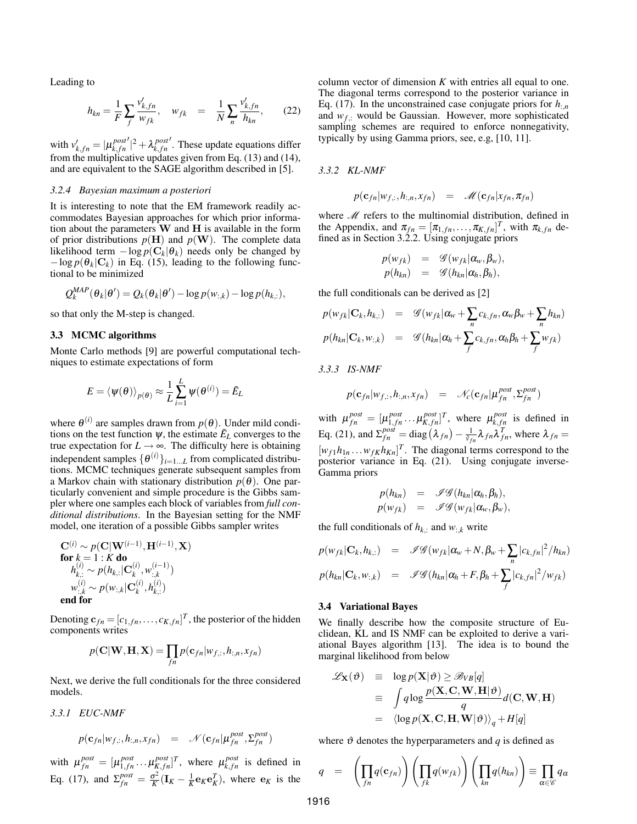Leading to

$$
h_{kn} = \frac{1}{F} \sum_{f} \frac{v'_{k,fn}}{w_{fk}}, \quad w_{fk} = \frac{1}{N} \sum_{n} \frac{v'_{k,fn}}{h_{kn}}, \quad (22)
$$

with  $v'_{k,fn} = |\mu^{post}_{k,fn}|$ *k*, *f n*  $\lambda_k^{post}$ *k*, *f n* . These update equations differ from the multiplicative updates given from Eq. (13) and (14), and are equivalent to the SAGE algorithm described in [5].

# *3.2.4 Bayesian maximum a posteriori*

It is interesting to note that the EM framework readily accommodates Bayesian approaches for which prior information about the parameters  $\bf{W}$  and  $\bf{H}$  is available in the form of prior distributions  $p(\mathbf{H})$  and  $p(\mathbf{W})$ . The complete data likelihood term  $-\log p(C_k|\theta_k)$  needs only be changed by  $-\log p(\theta_k | \mathbf{C}_k)$  in Eq. (15), leading to the following functional to be minimized

$$
Q_k^{MAP}(\theta_k|\theta') = Q_k(\theta_k|\theta') - \log p(w_{:,k}) - \log p(h_{k,:}),
$$

so that only the M-step is changed.

## 3.3 MCMC algorithms

Monte Carlo methods [9] are powerful computational techniques to estimate expectations of form

$$
E = \langle \psi(\theta) \rangle_{p(\theta)} \approx \frac{1}{L} \sum_{i=1}^{L} \psi(\theta^{(i)}) = \tilde{E}_L
$$

where  $\theta^{(i)}$  are samples drawn from  $p(\theta)$ . Under mild conditions on the test function  $\psi$ , the estimate  $\tilde{E}_L$  converges to the true expectation for  $L \rightarrow \infty$ . The difficulty here is obtaining independent samples  $\{\theta^{(i)}\}_{i=1...L}$  from complicated distributions. MCMC techniques generate subsequent samples from a Markov chain with stationary distribution  $p(\theta)$ . One particularly convenient and simple procedure is the Gibbs sampler where one samples each block of variables from *full conditional distributions*. In the Bayesian setting for the NMF model, one iteration of a possible Gibbs sampler writes

$$
\mathbf{C}^{(i)} \sim p(\mathbf{C}|\mathbf{W}^{(i-1)}, \mathbf{H}^{(i-1)}, \mathbf{X})
$$
  
for  $k = 1 : K$  do  

$$
h_{k,:}^{(i)} \sim p(h_{k,:}|\mathbf{C}_k^{(i)}, w_{:,k}^{(i-1)})
$$

$$
w_{:,k}^{(i)} \sim p(w_{:,k}|\mathbf{C}_k^{(i)}, h_{k,:}^{(i)})
$$
  
end for

Denoting  $\mathbf{c}_{fn} = [c_{1,fn}, \dots, c_{K,fn}]^T$ , the posterior of the hidden components writes

$$
p(\mathbf{C}|\mathbf{W}, \mathbf{H}, \mathbf{X}) = \prod_{fn} p(\mathbf{c}_{fn} | w_{f,:}, h_{:,n}, x_{fn})
$$

Next, we derive the full conditionals for the three considered models.

*3.3.1 EUC-NMF*

$$
p(\mathbf{c}_{fn} | w_{f,:}, h_{:,n}, x_{fn}) = \mathcal{N}(\mathbf{c}_{fn} | \boldsymbol{\mu}_{fn}^{post}, \boldsymbol{\Sigma}_{fn}^{post})
$$

with  $\mu_{fn}^{post} = [\mu_{1,fn}^{post} \dots \mu_{K,fn}^{post}]^T$ , where  $\mu_{k,fn}^{post}$  is defined in Eq. (17), and  $\Sigma_{fn}^{post} = \frac{\sigma^2}{K}$  $\frac{\sigma^2}{K}(\mathbf{I}_K - \frac{1}{K}\mathbf{e}_K\mathbf{e}_K^T)$ , where  $\mathbf{e}_K$  is the column vector of dimension *K* with entries all equal to one. The diagonal terms correspond to the posterior variance in Eq. (17). In the unconstrained case conjugate priors for  $h_{\cdot,n}$ and  $w_f$ : would be Gaussian. However, more sophisticated sampling schemes are required to enforce nonnegativity, typically by using Gamma priors, see, e.g, [10, 11].

*3.3.2 KL-NMF*

$$
p(\mathbf{c}_{fn}|w_{f,:},h_{:,n},x_{fn}) = \mathcal{M}(\mathbf{c}_{fn}|x_{fn},\pi_{fn})
$$

where  $M$  refers to the multinomial distribution, defined in the Appendix, and  $\pi_{fn} = [\pi_{1,fn}, \dots, \pi_{K,fn}]^T$ , with  $\pi_{k,fn}$  defined as in Section 3.2.2. Using conjugate priors

$$
p(w_{fk}) = \mathscr{G}(w_{fk}|\alpha_w, \beta_w),
$$
  

$$
p(h_{kn}) = \mathscr{G}(h_{kn}|\alpha_h, \beta_h),
$$

the full conditionals can be derived as [2]

$$
p(w_{fk}|\mathbf{C}_k, h_{k,:}) = \mathscr{G}(w_{fk}|\alpha_w + \sum_n c_{k,fn}, \alpha_w \beta_w + \sum_n h_{kn})
$$
  

$$
p(h_{kn}|\mathbf{C}_k, w_{:,k}) = \mathscr{G}(h_{kn}|\alpha_h + \sum_f c_{k,fn}, \alpha_h \beta_h + \sum_f w_{fk})
$$

*3.3.3 IS-NMF*

$$
p(\mathbf{c}_{fn}|w_{f,:},h_{:,n},x_{fn}) = \mathcal{N}_c(\mathbf{c}_{fn}|\boldsymbol{\mu}_{fn}^{post},\boldsymbol{\Sigma}_{fn}^{post})
$$

with  $\mu_{fn}^{post} = [\mu_{1,fn}^{post} \dots \mu_{K,fn}^{post}]^T$ , where  $\mu_{k,fn}^{post}$  is defined in Eq. (21), and  $\Sigma_{fn}^{post} = \text{diag}(\lambda_{fn}) - \frac{1}{\hat{v}_{fn}} \lambda_{fn} \lambda_{fn}^T$ , where  $\lambda_{fn} =$  $[w_f1h_{1n} \dots w_{fK}h_{Kn}]^T$ . The diagonal terms correspond to the posterior variance in Eq. (21). Using conjugate inverse-Gamma priors

$$
p(h_{kn}) = \mathscr{IG}(h_{kn}|\alpha_h, \beta_h),
$$
  

$$
p(w_{fk}) = \mathscr{IG}(w_{fk}|\alpha_w, \beta_w),
$$

the full conditionals of  $h_{k,:}$  and  $w_{:,k}$  write

$$
p(w_{fk}|\mathbf{C}_k, h_{k,:}) = \mathscr{IG}(w_{fk}|\alpha_w + N, \beta_w + \sum_n |c_{k,fn}|^2 / h_{kn})
$$
  

$$
p(h_{kn}|\mathbf{C}_k, w_{:,k}) = \mathscr{IG}(h_{kn}|\alpha_h + F, \beta_h + \sum_f |c_{k,fn}|^2 / w_{fk})
$$

## 3.4 Variational Bayes

We finally describe how the composite structure of Euclidean, KL and IS NMF can be exploited to derive a variational Bayes algorithm [13]. The idea is to bound the marginal likelihood from below

$$
\mathcal{L}_{\mathbf{X}}(\vartheta) \equiv \log p(\mathbf{X}|\vartheta) \geq \mathcal{B}_{VB}[q]
$$
  
\n
$$
\equiv \int q \log \frac{p(\mathbf{X}, \mathbf{C}, \mathbf{W}, \mathbf{H}|\vartheta)}{q} d(\mathbf{C}, \mathbf{W}, \mathbf{H})
$$
  
\n
$$
= \langle \log p(\mathbf{X}, \mathbf{C}, \mathbf{H}, \mathbf{W}|\vartheta) \rangle_q + H[q]
$$

where  $\vartheta$  denotes the hyperparameters and *q* is defined as

$$
q = \left(\prod_{fn} q(\mathbf{c}_{fn})\right) \left(\prod_{fk} q(w_{fk})\right) \left(\prod_{kn} q(h_{kn})\right) \equiv \prod_{\alpha \in \mathscr{C}} q_{\alpha}
$$